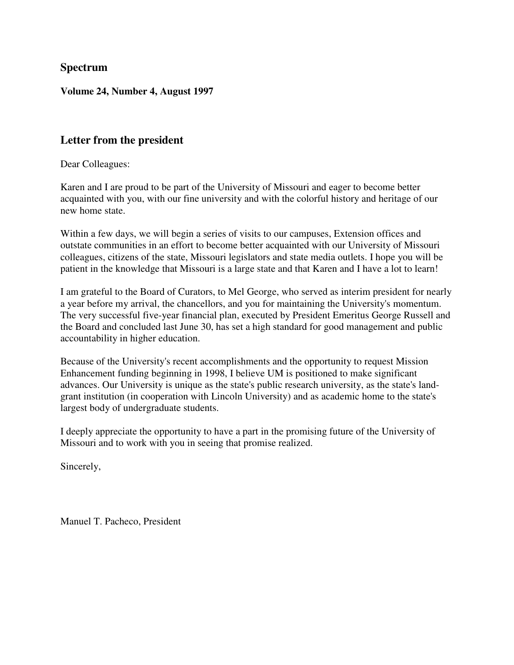### **Spectrum**

#### **Volume 24, Number 4, August 1997**

### **Letter from the president**

Dear Colleagues:

Karen and I are proud to be part of the University of Missouri and eager to become better acquainted with you, with our fine university and with the colorful history and heritage of our new home state.

Within a few days, we will begin a series of visits to our campuses, Extension offices and outstate communities in an effort to become better acquainted with our University of Missouri colleagues, citizens of the state, Missouri legislators and state media outlets. I hope you will be patient in the knowledge that Missouri is a large state and that Karen and I have a lot to learn!

I am grateful to the Board of Curators, to Mel George, who served as interim president for nearly a year before my arrival, the chancellors, and you for maintaining the University's momentum. The very successful five-year financial plan, executed by President Emeritus George Russell and the Board and concluded last June 30, has set a high standard for good management and public accountability in higher education.

Because of the University's recent accomplishments and the opportunity to request Mission Enhancement funding beginning in 1998, I believe UM is positioned to make significant advances. Our University is unique as the state's public research university, as the state's landgrant institution (in cooperation with Lincoln University) and as academic home to the state's largest body of undergraduate students.

I deeply appreciate the opportunity to have a part in the promising future of the University of Missouri and to work with you in seeing that promise realized.

Sincerely,

Manuel T. Pacheco, President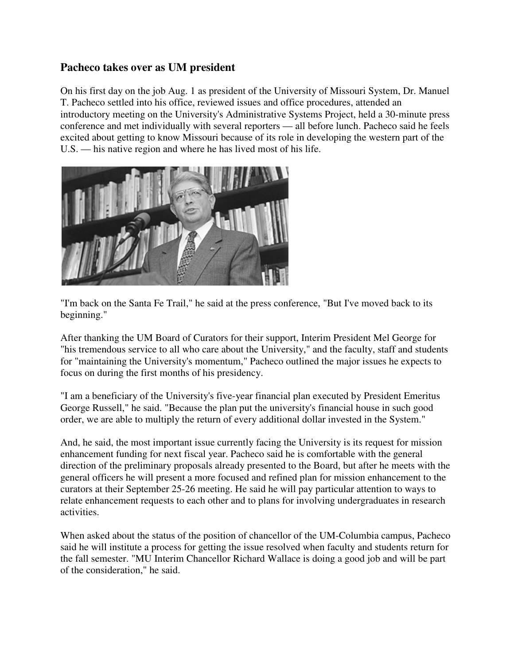## **Pacheco takes over as UM president**

On his first day on the job Aug. 1 as president of the University of Missouri System, Dr. Manuel T. Pacheco settled into his office, reviewed issues and office procedures, attended an introductory meeting on the University's Administrative Systems Project, held a 30-minute press conference and met individually with several reporters — all before lunch. Pacheco said he feels excited about getting to know Missouri because of its role in developing the western part of the U.S. — his native region and where he has lived most of his life.



"I'm back on the Santa Fe Trail," he said at the press conference, "But I've moved back to its beginning."

After thanking the UM Board of Curators for their support, Interim President Mel George for "his tremendous service to all who care about the University," and the faculty, staff and students for "maintaining the University's momentum," Pacheco outlined the major issues he expects to focus on during the first months of his presidency.

"I am a beneficiary of the University's five-year financial plan executed by President Emeritus George Russell," he said. "Because the plan put the university's financial house in such good order, we are able to multiply the return of every additional dollar invested in the System."

And, he said, the most important issue currently facing the University is its request for mission enhancement funding for next fiscal year. Pacheco said he is comfortable with the general direction of the preliminary proposals already presented to the Board, but after he meets with the general officers he will present a more focused and refined plan for mission enhancement to the curators at their September 25-26 meeting. He said he will pay particular attention to ways to relate enhancement requests to each other and to plans for involving undergraduates in research activities.

When asked about the status of the position of chancellor of the UM-Columbia campus, Pacheco said he will institute a process for getting the issue resolved when faculty and students return for the fall semester. "MU Interim Chancellor Richard Wallace is doing a good job and will be part of the consideration," he said.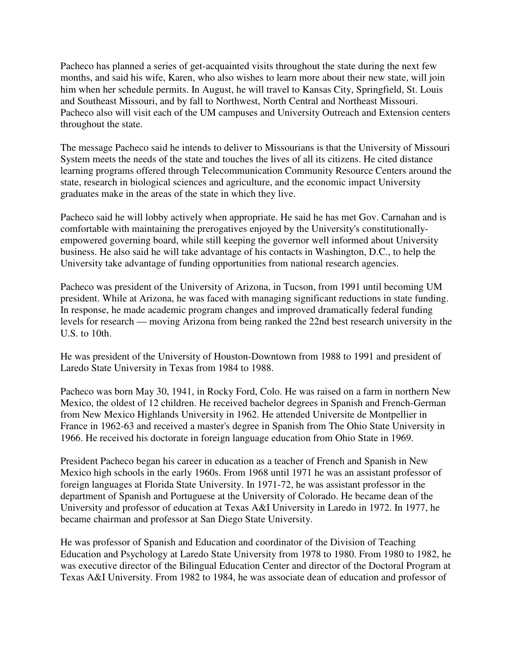Pacheco has planned a series of get-acquainted visits throughout the state during the next few months, and said his wife, Karen, who also wishes to learn more about their new state, will join him when her schedule permits. In August, he will travel to Kansas City, Springfield, St. Louis and Southeast Missouri, and by fall to Northwest, North Central and Northeast Missouri. Pacheco also will visit each of the UM campuses and University Outreach and Extension centers throughout the state.

The message Pacheco said he intends to deliver to Missourians is that the University of Missouri System meets the needs of the state and touches the lives of all its citizens. He cited distance learning programs offered through Telecommunication Community Resource Centers around the state, research in biological sciences and agriculture, and the economic impact University graduates make in the areas of the state in which they live.

Pacheco said he will lobby actively when appropriate. He said he has met Gov. Carnahan and is comfortable with maintaining the prerogatives enjoyed by the University's constitutionallyempowered governing board, while still keeping the governor well informed about University business. He also said he will take advantage of his contacts in Washington, D.C., to help the University take advantage of funding opportunities from national research agencies.

Pacheco was president of the University of Arizona, in Tucson, from 1991 until becoming UM president. While at Arizona, he was faced with managing significant reductions in state funding. In response, he made academic program changes and improved dramatically federal funding levels for research — moving Arizona from being ranked the 22nd best research university in the U.S. to 10th.

He was president of the University of Houston-Downtown from 1988 to 1991 and president of Laredo State University in Texas from 1984 to 1988.

Pacheco was born May 30, 1941, in Rocky Ford, Colo. He was raised on a farm in northern New Mexico, the oldest of 12 children. He received bachelor degrees in Spanish and French-German from New Mexico Highlands University in 1962. He attended Universite de Montpellier in France in 1962-63 and received a master's degree in Spanish from The Ohio State University in 1966. He received his doctorate in foreign language education from Ohio State in 1969.

President Pacheco began his career in education as a teacher of French and Spanish in New Mexico high schools in the early 1960s. From 1968 until 1971 he was an assistant professor of foreign languages at Florida State University. In 1971-72, he was assistant professor in the department of Spanish and Portuguese at the University of Colorado. He became dean of the University and professor of education at Texas A&I University in Laredo in 1972. In 1977, he became chairman and professor at San Diego State University.

He was professor of Spanish and Education and coordinator of the Division of Teaching Education and Psychology at Laredo State University from 1978 to 1980. From 1980 to 1982, he was executive director of the Bilingual Education Center and director of the Doctoral Program at Texas A&I University. From 1982 to 1984, he was associate dean of education and professor of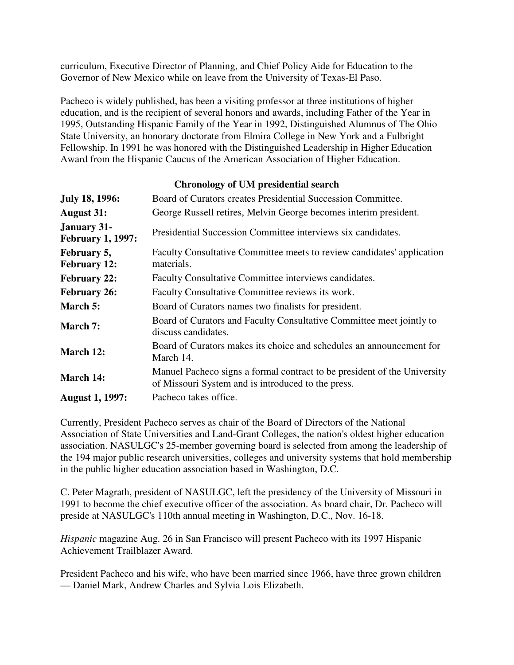curriculum, Executive Director of Planning, and Chief Policy Aide for Education to the Governor of New Mexico while on leave from the University of Texas-El Paso.

Pacheco is widely published, has been a visiting professor at three institutions of higher education, and is the recipient of several honors and awards, including Father of the Year in 1995, Outstanding Hispanic Family of the Year in 1992, Distinguished Alumnus of The Ohio State University, an honorary doctorate from Elmira College in New York and a Fulbright Fellowship. In 1991 he was honored with the Distinguished Leadership in Higher Education Award from the Hispanic Caucus of the American Association of Higher Education.

### **Chronology of UM presidential search**

| <b>July 18, 1996:</b>                          | Board of Curators creates Presidential Succession Committee.                                                                   |  |  |
|------------------------------------------------|--------------------------------------------------------------------------------------------------------------------------------|--|--|
| <b>August 31:</b>                              | George Russell retires, Melvin George becomes interim president.                                                               |  |  |
| <b>January 31-</b><br><b>February 1, 1997:</b> | Presidential Succession Committee interviews six candidates.                                                                   |  |  |
| February 5,<br><b>February 12:</b>             | Faculty Consultative Committee meets to review candidates' application<br>materials.                                           |  |  |
| <b>February 22:</b>                            | Faculty Consultative Committee interviews candidates.                                                                          |  |  |
| <b>February 26:</b>                            | Faculty Consultative Committee reviews its work.                                                                               |  |  |
| March 5:                                       | Board of Curators names two finalists for president.                                                                           |  |  |
| March 7:                                       | Board of Curators and Faculty Consultative Committee meet jointly to<br>discuss candidates.                                    |  |  |
| March 12:                                      | Board of Curators makes its choice and schedules an announcement for<br>March 14.                                              |  |  |
| March 14:                                      | Manuel Pacheco signs a formal contract to be president of the University<br>of Missouri System and is introduced to the press. |  |  |
| <b>August 1, 1997:</b>                         | Pacheco takes office.                                                                                                          |  |  |

Currently, President Pacheco serves as chair of the Board of Directors of the National Association of State Universities and Land-Grant Colleges, the nation's oldest higher education association. NASULGC's 25-member governing board is selected from among the leadership of the 194 major public research universities, colleges and university systems that hold membership in the public higher education association based in Washington, D.C.

C. Peter Magrath, president of NASULGC, left the presidency of the University of Missouri in 1991 to become the chief executive officer of the association. As board chair, Dr. Pacheco will preside at NASULGC's 110th annual meeting in Washington, D.C., Nov. 16-18.

*Hispanic* magazine Aug. 26 in San Francisco will present Pacheco with its 1997 Hispanic Achievement Trailblazer Award.

President Pacheco and his wife, who have been married since 1966, have three grown children — Daniel Mark, Andrew Charles and Sylvia Lois Elizabeth.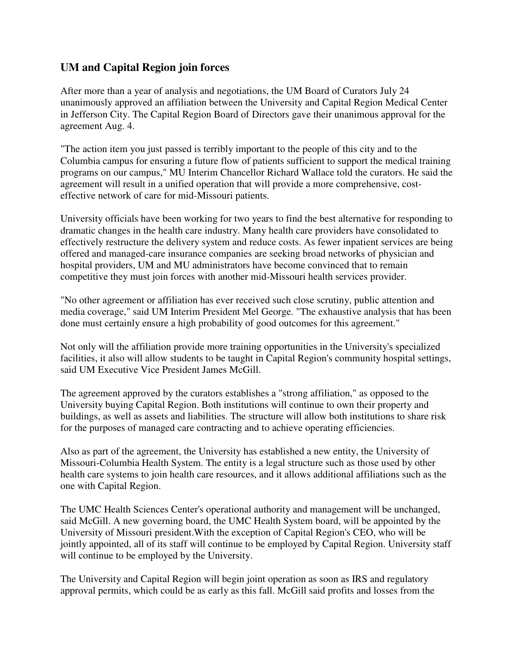## **UM and Capital Region join forces**

After more than a year of analysis and negotiations, the UM Board of Curators July 24 unanimously approved an affiliation between the University and Capital Region Medical Center in Jefferson City. The Capital Region Board of Directors gave their unanimous approval for the agreement Aug. 4.

"The action item you just passed is terribly important to the people of this city and to the Columbia campus for ensuring a future flow of patients sufficient to support the medical training programs on our campus," MU Interim Chancellor Richard Wallace told the curators. He said the agreement will result in a unified operation that will provide a more comprehensive, costeffective network of care for mid-Missouri patients.

University officials have been working for two years to find the best alternative for responding to dramatic changes in the health care industry. Many health care providers have consolidated to effectively restructure the delivery system and reduce costs. As fewer inpatient services are being offered and managed-care insurance companies are seeking broad networks of physician and hospital providers, UM and MU administrators have become convinced that to remain competitive they must join forces with another mid-Missouri health services provider.

"No other agreement or affiliation has ever received such close scrutiny, public attention and media coverage," said UM Interim President Mel George. "The exhaustive analysis that has been done must certainly ensure a high probability of good outcomes for this agreement."

Not only will the affiliation provide more training opportunities in the University's specialized facilities, it also will allow students to be taught in Capital Region's community hospital settings, said UM Executive Vice President James McGill.

The agreement approved by the curators establishes a "strong affiliation," as opposed to the University buying Capital Region. Both institutions will continue to own their property and buildings, as well as assets and liabilities. The structure will allow both institutions to share risk for the purposes of managed care contracting and to achieve operating efficiencies.

Also as part of the agreement, the University has established a new entity, the University of Missouri-Columbia Health System. The entity is a legal structure such as those used by other health care systems to join health care resources, and it allows additional affiliations such as the one with Capital Region.

The UMC Health Sciences Center's operational authority and management will be unchanged, said McGill. A new governing board, the UMC Health System board, will be appointed by the University of Missouri president.With the exception of Capital Region's CEO, who will be jointly appointed, all of its staff will continue to be employed by Capital Region. University staff will continue to be employed by the University.

The University and Capital Region will begin joint operation as soon as IRS and regulatory approval permits, which could be as early as this fall. McGill said profits and losses from the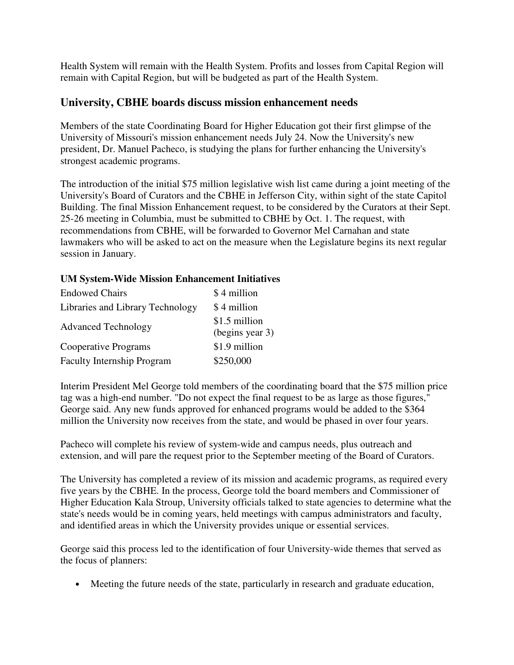Health System will remain with the Health System. Profits and losses from Capital Region will remain with Capital Region, but will be budgeted as part of the Health System.

### **University, CBHE boards discuss mission enhancement needs**

Members of the state Coordinating Board for Higher Education got their first glimpse of the University of Missouri's mission enhancement needs July 24. Now the University's new president, Dr. Manuel Pacheco, is studying the plans for further enhancing the University's strongest academic programs.

The introduction of the initial \$75 million legislative wish list came during a joint meeting of the University's Board of Curators and the CBHE in Jefferson City, within sight of the state Capitol Building. The final Mission Enhancement request, to be considered by the Curators at their Sept. 25-26 meeting in Columbia, must be submitted to CBHE by Oct. 1. The request, with recommendations from CBHE, will be forwarded to Governor Mel Carnahan and state lawmakers who will be asked to act on the measure when the Legislature begins its next regular session in January.

#### **UM System-Wide Mission Enhancement Initiatives**

| <b>Endowed Chairs</b>             | \$4 million                      |
|-----------------------------------|----------------------------------|
| Libraries and Library Technology  | \$4 million                      |
| <b>Advanced Technology</b>        | \$1.5 million<br>(begins year 3) |
| Cooperative Programs              | \$1.9 million                    |
| <b>Faculty Internship Program</b> | \$250,000                        |

Interim President Mel George told members of the coordinating board that the \$75 million price tag was a high-end number. "Do not expect the final request to be as large as those figures," George said. Any new funds approved for enhanced programs would be added to the \$364 million the University now receives from the state, and would be phased in over four years.

Pacheco will complete his review of system-wide and campus needs, plus outreach and extension, and will pare the request prior to the September meeting of the Board of Curators.

The University has completed a review of its mission and academic programs, as required every five years by the CBHE. In the process, George told the board members and Commissioner of Higher Education Kala Stroup, University officials talked to state agencies to determine what the state's needs would be in coming years, held meetings with campus administrators and faculty, and identified areas in which the University provides unique or essential services.

George said this process led to the identification of four University-wide themes that served as the focus of planners:

• Meeting the future needs of the state, particularly in research and graduate education,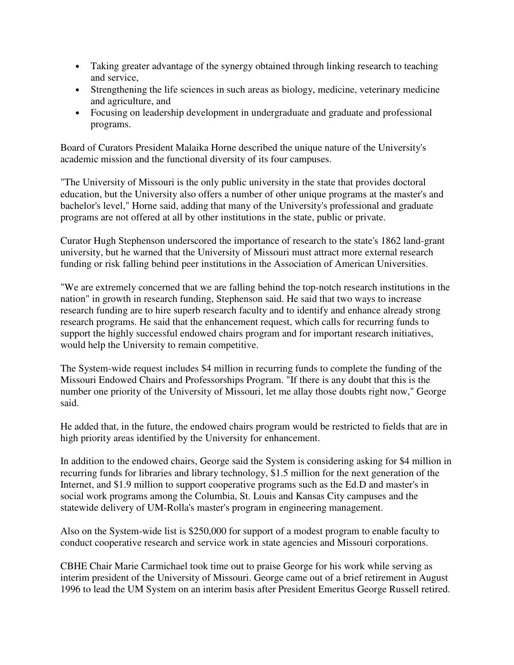- Taking greater advantage of the synergy obtained through linking research to teaching and service,
- Strengthening the life sciences in such areas as biology, medicine, veterinary medicine and agriculture, and
- Focusing on leadership development in undergraduate and graduate and professional programs.

Board of Curators President Malaika Horne described the unique nature of the University's academic mission and the functional diversity of its four campuses.

"The University of Missouri is the only public university in the state that provides doctoral education, but the University also offers a number of other unique programs at the master's and bachelor's level," Horne said, adding that many of the University's professional and graduate programs are not offered at all by other institutions in the state, public or private.

Curator Hugh Stephenson underscored the importance of research to the state's 1862 land-grant university, but he warned that the University of Missouri must attract more external research funding or risk falling behind peer institutions in the Association of American Universities.

"We are extremely concerned that we are falling behind the top-notch research institutions in the nation" in growth in research funding, Stephenson said. He said that two ways to increase research funding are to hire superb research faculty and to identify and enhance already strong research programs. He said that the enhancement request, which calls for recurring funds to support the highly successful endowed chairs program and for important research initiatives, would help the University to remain competitive.

The System-wide request includes \$4 million in recurring funds to complete the funding of the Missouri Endowed Chairs and Professorships Program. "If there is any doubt that this is the number one priority of the University of Missouri, let me allay those doubts right now," George said.

He added that, in the future, the endowed chairs program would be restricted to fields that are in high priority areas identified by the University for enhancement.

In addition to the endowed chairs, George said the System is considering asking for \$4 million in recurring funds for libraries and library technology, \$1.5 million for the next generation of the Internet, and \$1.9 million to support cooperative programs such as the Ed.D and master's in social work programs among the Columbia, St. Louis and Kansas City campuses and the statewide delivery of UM-Rolla's master's program in engineering management.

Also on the System-wide list is \$250,000 for support of a modest program to enable faculty to conduct cooperative research and service work in state agencies and Missouri corporations.

CBHE Chair Marie Carmichael took time out to praise George for his work while serving as interim president of the University of Missouri. George came out of a brief retirement in August 1996 to lead the UM System on an interim basis after President Emeritus George Russell retired.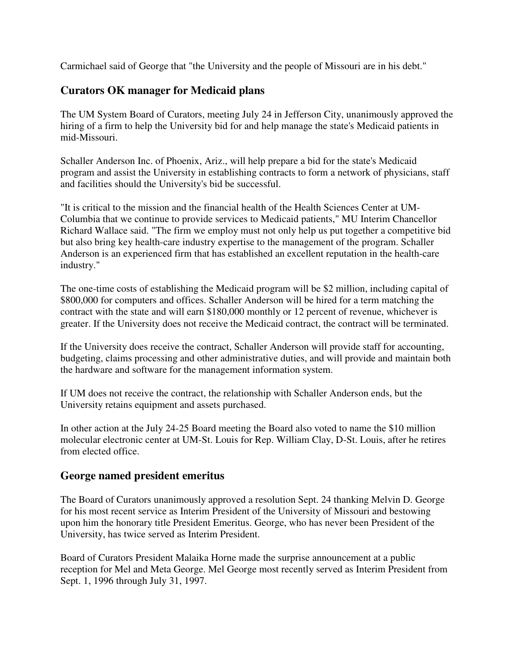Carmichael said of George that "the University and the people of Missouri are in his debt."

## **Curators OK manager for Medicaid plans**

The UM System Board of Curators, meeting July 24 in Jefferson City, unanimously approved the hiring of a firm to help the University bid for and help manage the state's Medicaid patients in mid-Missouri.

Schaller Anderson Inc. of Phoenix, Ariz., will help prepare a bid for the state's Medicaid program and assist the University in establishing contracts to form a network of physicians, staff and facilities should the University's bid be successful.

"It is critical to the mission and the financial health of the Health Sciences Center at UM-Columbia that we continue to provide services to Medicaid patients," MU Interim Chancellor Richard Wallace said. "The firm we employ must not only help us put together a competitive bid but also bring key health-care industry expertise to the management of the program. Schaller Anderson is an experienced firm that has established an excellent reputation in the health-care industry."

The one-time costs of establishing the Medicaid program will be \$2 million, including capital of \$800,000 for computers and offices. Schaller Anderson will be hired for a term matching the contract with the state and will earn \$180,000 monthly or 12 percent of revenue, whichever is greater. If the University does not receive the Medicaid contract, the contract will be terminated.

If the University does receive the contract, Schaller Anderson will provide staff for accounting, budgeting, claims processing and other administrative duties, and will provide and maintain both the hardware and software for the management information system.

If UM does not receive the contract, the relationship with Schaller Anderson ends, but the University retains equipment and assets purchased.

In other action at the July 24-25 Board meeting the Board also voted to name the \$10 million molecular electronic center at UM-St. Louis for Rep. William Clay, D-St. Louis, after he retires from elected office.

### **George named president emeritus**

The Board of Curators unanimously approved a resolution Sept. 24 thanking Melvin D. George for his most recent service as Interim President of the University of Missouri and bestowing upon him the honorary title President Emeritus. George, who has never been President of the University, has twice served as Interim President.

Board of Curators President Malaika Horne made the surprise announcement at a public reception for Mel and Meta George. Mel George most recently served as Interim President from Sept. 1, 1996 through July 31, 1997.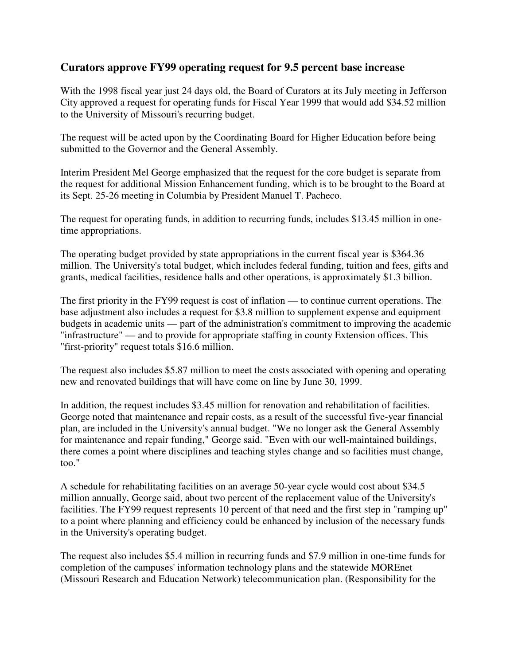### **Curators approve FY99 operating request for 9.5 percent base increase**

With the 1998 fiscal year just 24 days old, the Board of Curators at its July meeting in Jefferson City approved a request for operating funds for Fiscal Year 1999 that would add \$34.52 million to the University of Missouri's recurring budget.

The request will be acted upon by the Coordinating Board for Higher Education before being submitted to the Governor and the General Assembly.

Interim President Mel George emphasized that the request for the core budget is separate from the request for additional Mission Enhancement funding, which is to be brought to the Board at its Sept. 25-26 meeting in Columbia by President Manuel T. Pacheco.

The request for operating funds, in addition to recurring funds, includes \$13.45 million in onetime appropriations.

The operating budget provided by state appropriations in the current fiscal year is \$364.36 million. The University's total budget, which includes federal funding, tuition and fees, gifts and grants, medical facilities, residence halls and other operations, is approximately \$1.3 billion.

The first priority in the FY99 request is cost of inflation — to continue current operations. The base adjustment also includes a request for \$3.8 million to supplement expense and equipment budgets in academic units — part of the administration's commitment to improving the academic "infrastructure" — and to provide for appropriate staffing in county Extension offices. This "first-priority" request totals \$16.6 million.

The request also includes \$5.87 million to meet the costs associated with opening and operating new and renovated buildings that will have come on line by June 30, 1999.

In addition, the request includes \$3.45 million for renovation and rehabilitation of facilities. George noted that maintenance and repair costs, as a result of the successful five-year financial plan, are included in the University's annual budget. "We no longer ask the General Assembly for maintenance and repair funding," George said. "Even with our well-maintained buildings, there comes a point where disciplines and teaching styles change and so facilities must change, too."

A schedule for rehabilitating facilities on an average 50-year cycle would cost about \$34.5 million annually, George said, about two percent of the replacement value of the University's facilities. The FY99 request represents 10 percent of that need and the first step in "ramping up" to a point where planning and efficiency could be enhanced by inclusion of the necessary funds in the University's operating budget.

The request also includes \$5.4 million in recurring funds and \$7.9 million in one-time funds for completion of the campuses' information technology plans and the statewide MOREnet (Missouri Research and Education Network) telecommunication plan. (Responsibility for the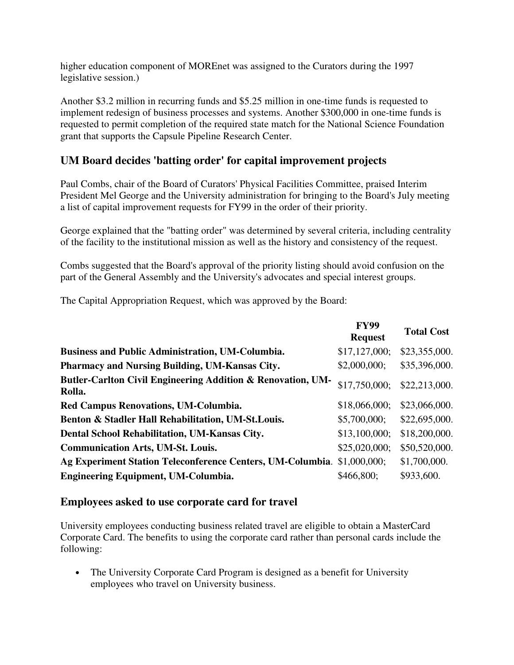higher education component of MOREnet was assigned to the Curators during the 1997 legislative session.)

Another \$3.2 million in recurring funds and \$5.25 million in one-time funds is requested to implement redesign of business processes and systems. Another \$300,000 in one-time funds is requested to permit completion of the required state match for the National Science Foundation grant that supports the Capsule Pipeline Research Center.

# **UM Board decides 'batting order' for capital improvement projects**

Paul Combs, chair of the Board of Curators' Physical Facilities Committee, praised Interim President Mel George and the University administration for bringing to the Board's July meeting a list of capital improvement requests for FY99 in the order of their priority.

George explained that the "batting order" was determined by several criteria, including centrality of the facility to the institutional mission as well as the history and consistency of the request.

Combs suggested that the Board's approval of the priority listing should avoid confusion on the part of the General Assembly and the University's advocates and special interest groups.

The Capital Appropriation Request, which was approved by the Board:

|                                                                         | <b>FY99</b><br><b>Request</b> | <b>Total Cost</b> |
|-------------------------------------------------------------------------|-------------------------------|-------------------|
| <b>Business and Public Administration, UM-Columbia.</b>                 | \$17,127,000;                 | \$23,355,000.     |
| Pharmacy and Nursing Building, UM-Kansas City.                          | \$2,000,000;                  | \$35,396,000.     |
| Butler-Carlton Civil Engineering Addition & Renovation, UM-<br>Rolla.   | \$17,750,000;                 | \$22,213,000.     |
| Red Campus Renovations, UM-Columbia.                                    | \$18,066,000;                 | \$23,066,000.     |
| Benton & Stadler Hall Rehabilitation, UM-St.Louis.                      | \$5,700,000;                  | \$22,695,000.     |
| Dental School Rehabilitation, UM-Kansas City.                           | \$13,100,000;                 | \$18,200,000.     |
| <b>Communication Arts, UM-St. Louis.</b>                                | \$25,020,000;                 | \$50,520,000.     |
| Ag Experiment Station Teleconference Centers, UM-Columbia. \$1,000,000; |                               | \$1,700,000.      |
| <b>Engineering Equipment, UM-Columbia.</b>                              | \$466,800;                    | \$933,600.        |

### **Employees asked to use corporate card for travel**

University employees conducting business related travel are eligible to obtain a MasterCard Corporate Card. The benefits to using the corporate card rather than personal cards include the following:

• The University Corporate Card Program is designed as a benefit for University employees who travel on University business.